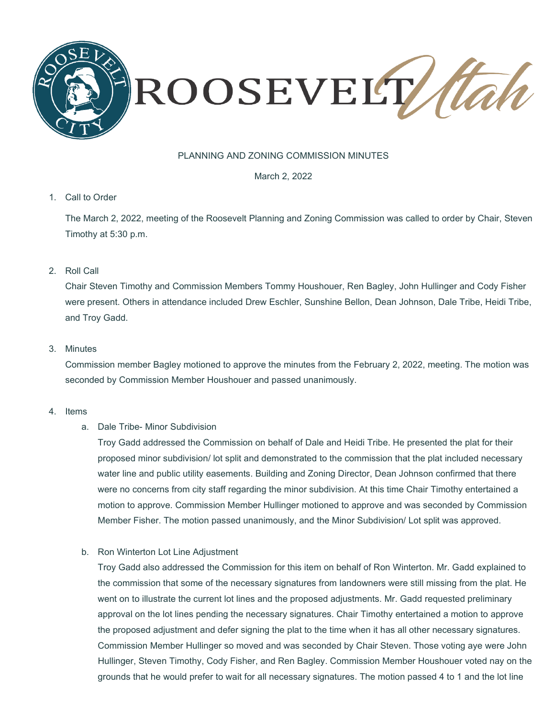

# PLANNING AND ZONING COMMISSION MINUTES

March 2, 2022

#### 1. Call to Order

The March 2, 2022, meeting of the Roosevelt Planning and Zoning Commission was called to order by Chair, Steven Timothy at 5:30 p.m.

2. Roll Call

Chair Steven Timothy and Commission Members Tommy Houshouer, Ren Bagley, John Hullinger and Cody Fisher were present. Others in attendance included Drew Eschler, Sunshine Bellon, Dean Johnson, Dale Tribe, Heidi Tribe, and Troy Gadd.

### 3. Minutes

Commission member Bagley motioned to approve the minutes from the February 2, 2022, meeting. The motion was seconded by Commission Member Houshouer and passed unanimously.

- 4. Items
	- a. Dale Tribe- Minor Subdivision

Troy Gadd addressed the Commission on behalf of Dale and Heidi Tribe. He presented the plat for their proposed minor subdivision/ lot split and demonstrated to the commission that the plat included necessary water line and public utility easements. Building and Zoning Director, Dean Johnson confirmed that there were no concerns from city staff regarding the minor subdivision. At this time Chair Timothy entertained a motion to approve. Commission Member Hullinger motioned to approve and was seconded by Commission Member Fisher. The motion passed unanimously, and the Minor Subdivision/ Lot split was approved.

b. Ron Winterton Lot Line Adjustment

Troy Gadd also addressed the Commission for this item on behalf of Ron Winterton. Mr. Gadd explained to the commission that some of the necessary signatures from landowners were still missing from the plat. He went on to illustrate the current lot lines and the proposed adjustments. Mr. Gadd requested preliminary approval on the lot lines pending the necessary signatures. Chair Timothy entertained a motion to approve the proposed adjustment and defer signing the plat to the time when it has all other necessary signatures. Commission Member Hullinger so moved and was seconded by Chair Steven. Those voting aye were John Hullinger, Steven Timothy, Cody Fisher, and Ren Bagley. Commission Member Houshouer voted nay on the grounds that he would prefer to wait for all necessary signatures. The motion passed 4 to 1 and the lot line